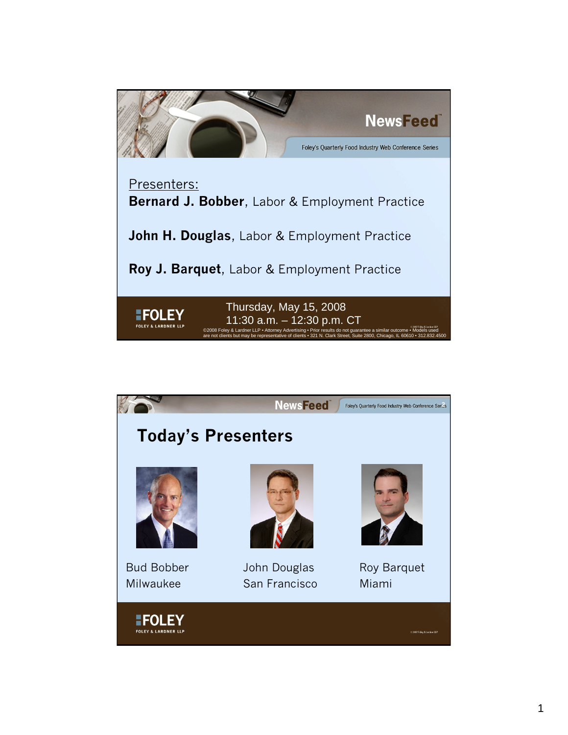

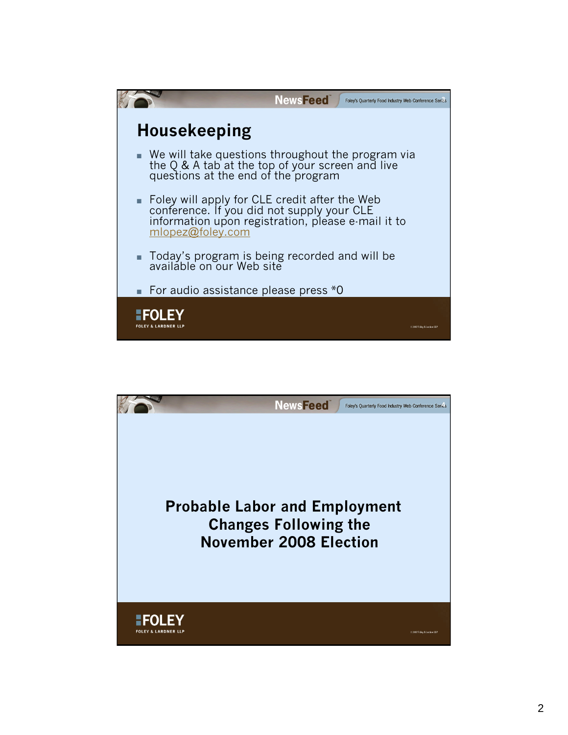

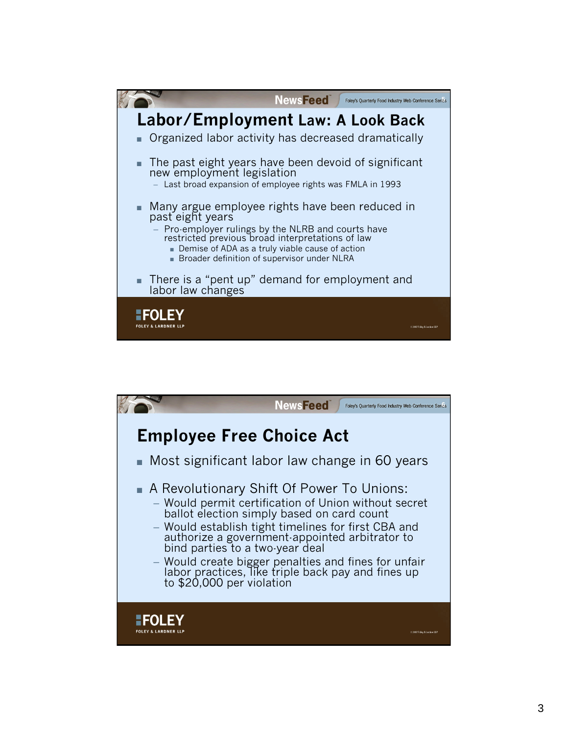

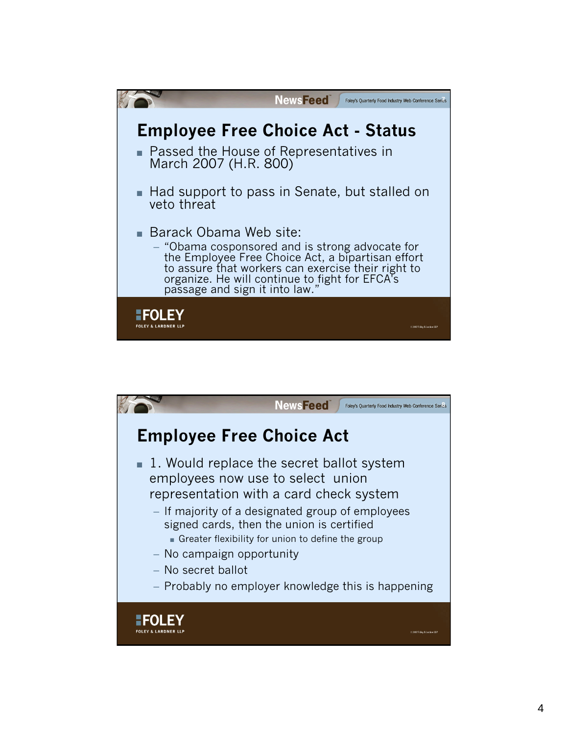

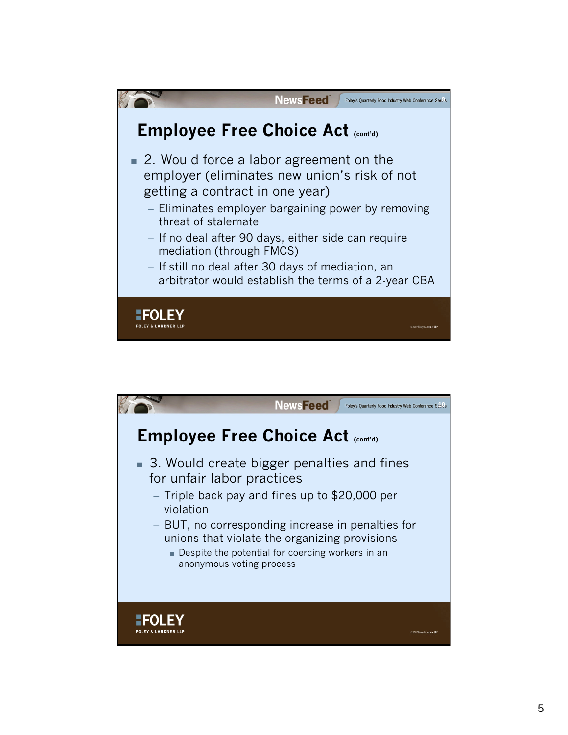

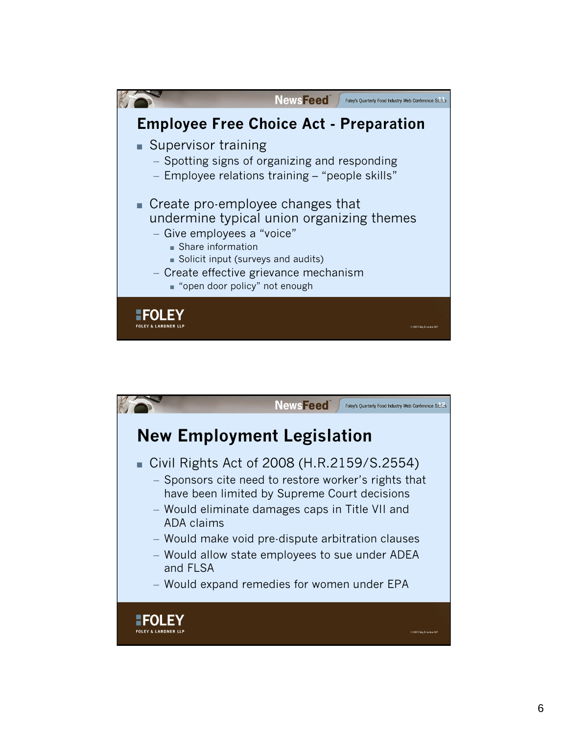

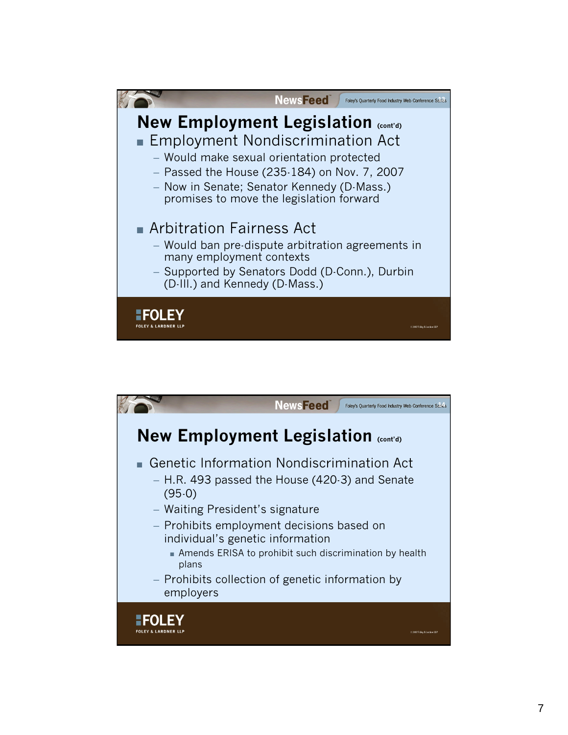

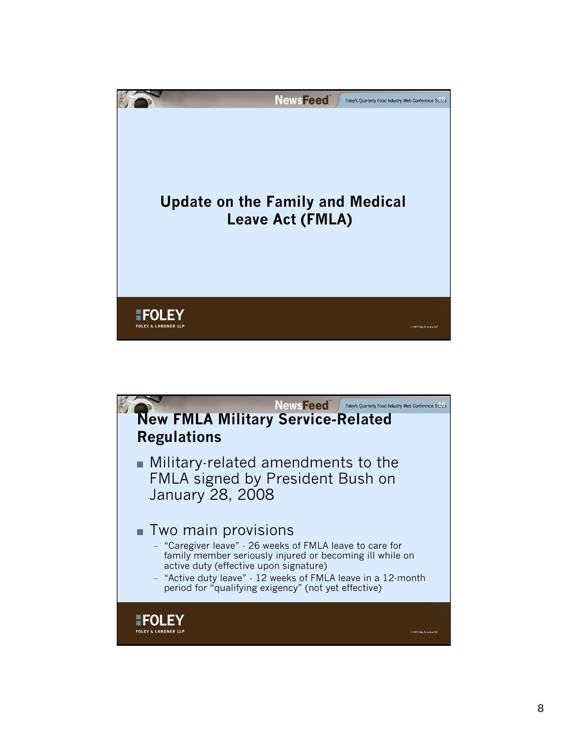

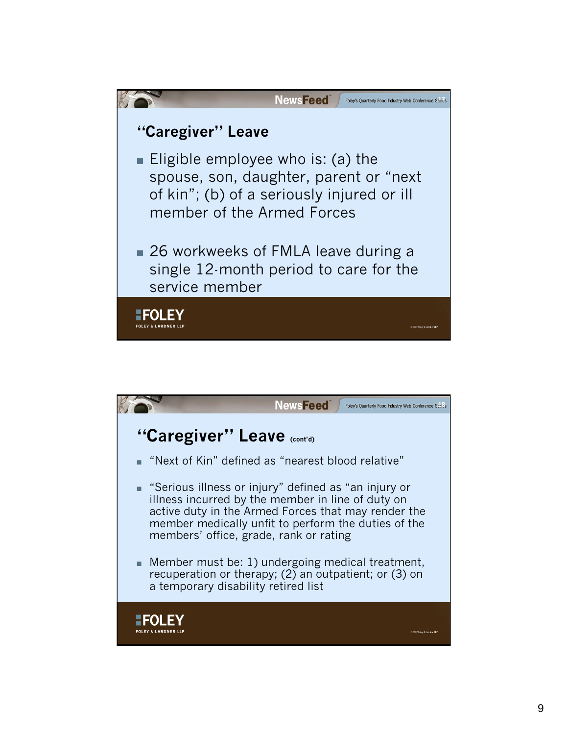

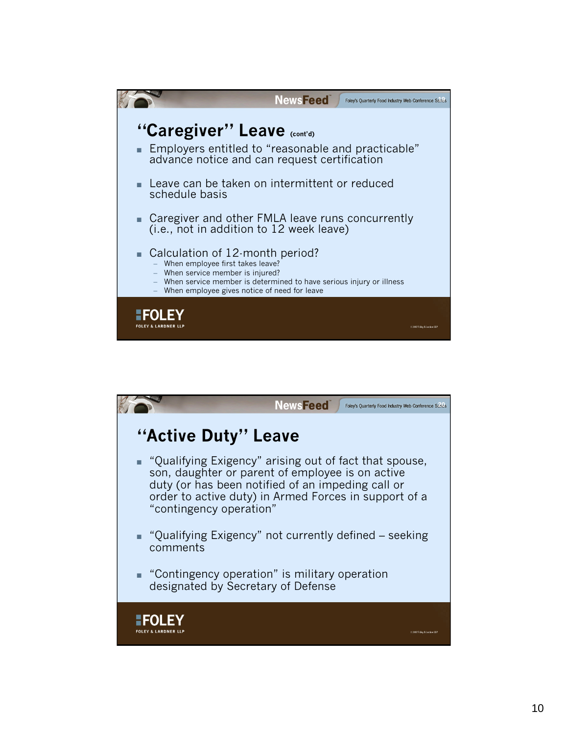

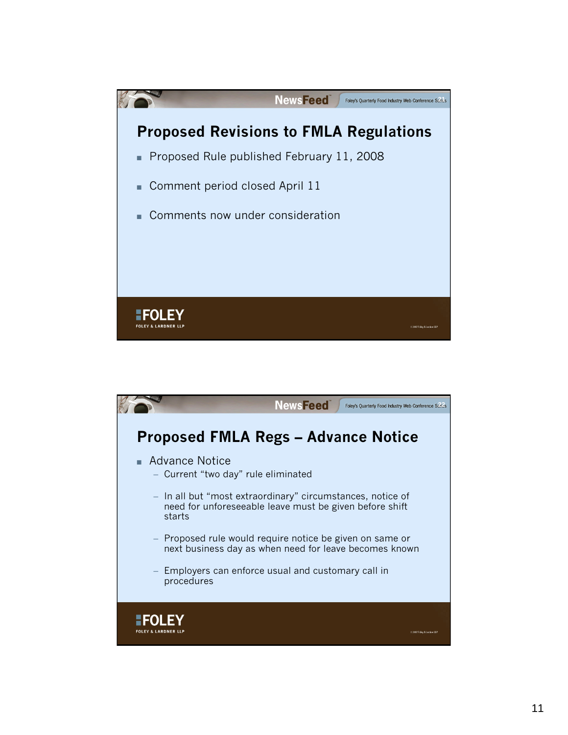

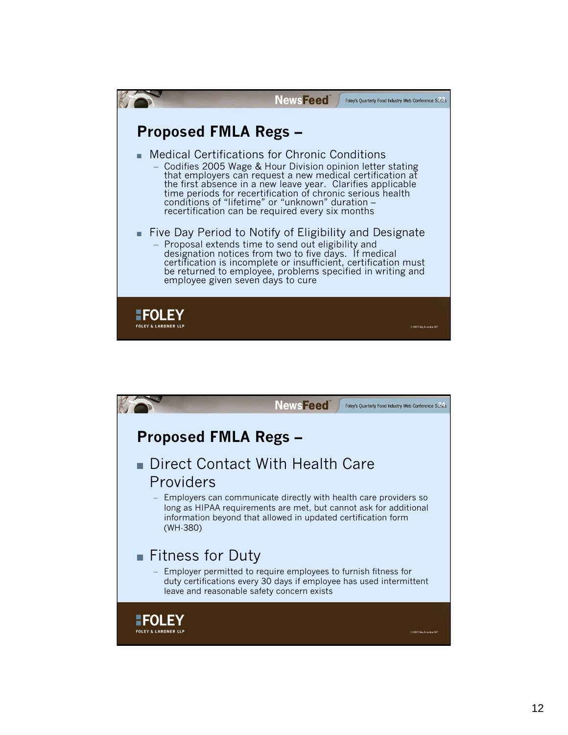

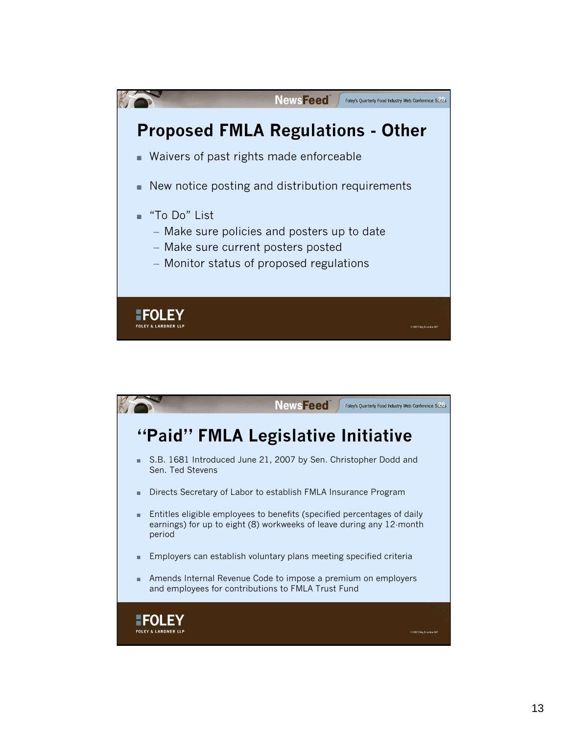

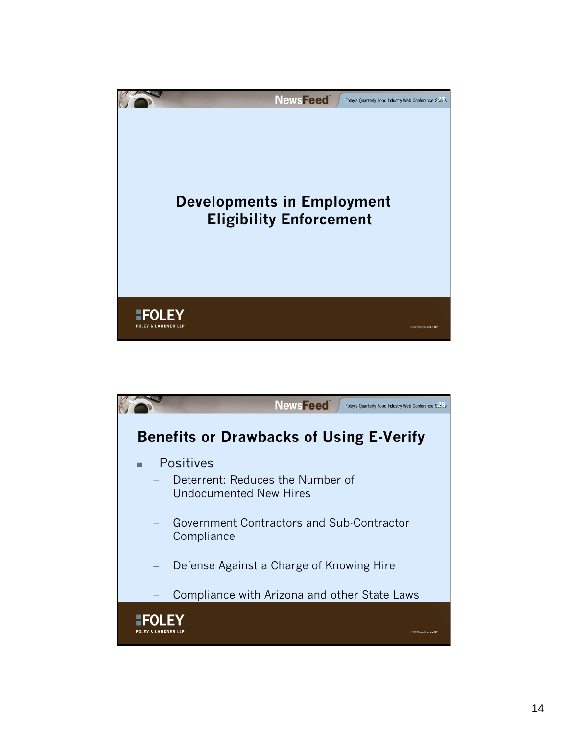

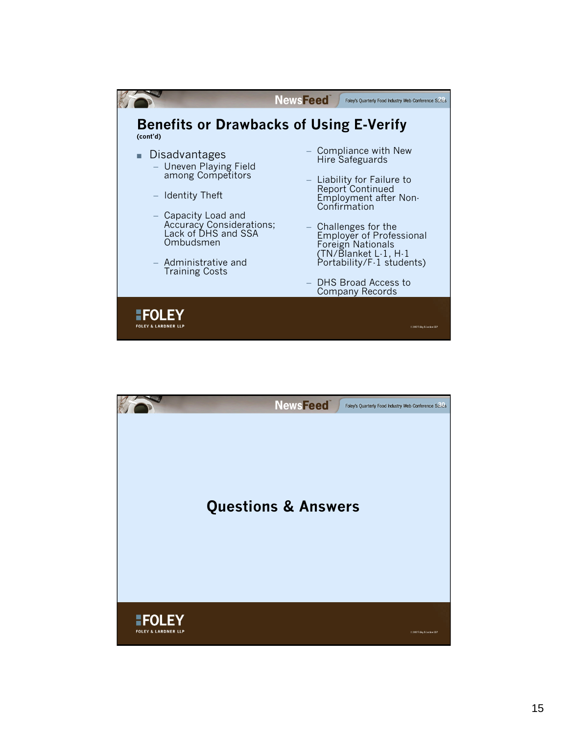